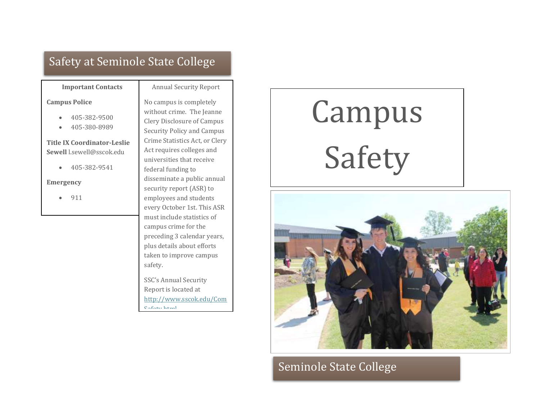# Safety at Seminole State College

### **Important Contacts**

#### Annual Security Report

#### **Campus Police**

- 405-382-9500
- 405-380-8989

## **Title IX Coordinator-Leslie Sewell** l.sewell@sscok.edu

405-382-9541

#### **Emergency**

 $• 911$ 

No campus is completely without crime. The Jeanne Clery Disclosure of Campus Security Policy and Campus Crime Statistics Act, or Clery Act requires colleges and universities that receive federal funding to disseminate a public annual security report (ASR) to employees and students every October 1st. This ASR must include statistics of campus crime for the preceding 3 calendar years, plus details about efforts taken to improve campus safety.

SSC's Annual Security Report is located at [http://www.sscok.edu/Com](http://www.sscok.edu/ComSafety.html)  $Cofotv.html$ 

# Campus Safety



Seminole State College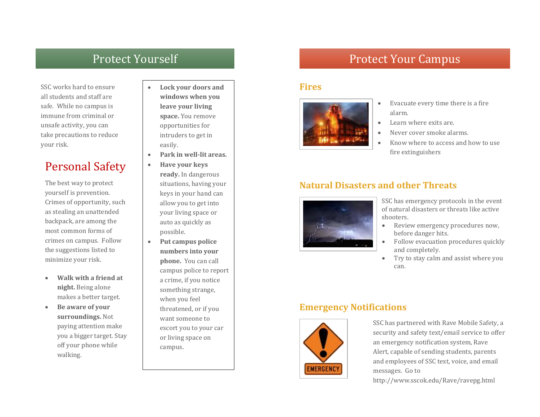SSC works hard to ensure all students and staff are safe. While no campus is immune from criminal or unsafe activity, you can take precautions to reduce your risk.

# Personal Safety

The best way to protect yourself is prevention. Crimes of opportunity, such as stealing an unattended backpack, are among the most common forms of crimes on campus. Follow the suggestions listed to minimize your risk.

- **Walk with a friend at night.** Being alone makes a better target.
- **Be aware of your surroundings.** Not paying attention make you a bigger target. Stay off your phone while walking.
- **Lock your doors and windows when you leave your living space.** You remove opportunities for intruders to get in easily.
- **Park in well-lit areas.**
- **Have your keys ready.** In dangerous situations, having your keys in your hand can allow you to get into your living space or auto as quickly as possible.
- **Put campus police numbers into your phone.** You can call campus police to report a crime, if you notice something strange, when you feel threatened, or if you want someone to escort you to your car or living space on campus.

# Protect Yourself **Protect Your Campus**

## **Fires**



- Evacuate every time there is a fire alarm.
- Learn where exits are.
- Never cover smoke alarms.
- Know where to access and how to use fire extinguishers

# **Natural Disasters and other Threats**



SSC has emergency protocols in the event of natural disasters or threats like active shooters.

- Review emergency procedures now, before danger hits.
- Follow evacuation procedures quickly and completely.
- Try to stay calm and assist where you can.

# **Emergency Notifications**



SSC has partnered with Rave Mobile Safety, a security and safety text/email service to offer an emergency notification system, Rave Alert, capable of sending students, parents and employees of SSC text, voice, and email messages. Go to

http://www.sscok.edu/Rave/ravepg.html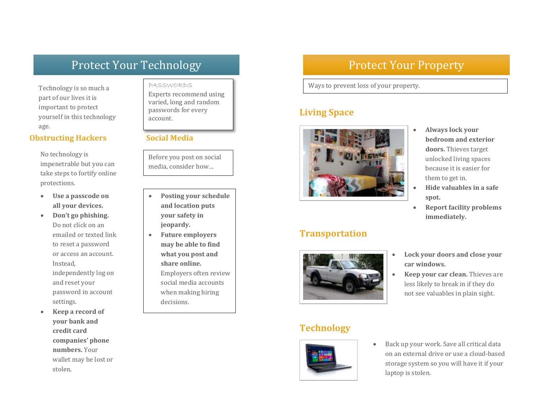# Protect Your Technology

Technology is so much a part of our lives it is important to protect yourself in this technology age.

## **Obstructing Hackers Social Media**

No technology is impenetrable but you can take steps to fortify online protections.

- **Use a passcode on all your devices.**
- **Don't go phishing.**  Do not click on an emailed or texted link to reset a password or access an account. Instead, independently log on and reset your password in account settings.
- **Keep a record of your bank and credit card companies' phone numbers.** Your wallet may be lost or stolen.

# PASSWORDS

Experts recommend using varied, long and random passwords for every account.

Before you post on social media, consider how…

- **Posting your schedule and location puts your safety in jeopardy.**
- **Future employers may be able to find what you post and share online.**  Employers often review social media accounts when making hiring decisions.

# Protect Your Property

Ways to prevent loss of your property.

# **Living Space**



# **Transportation**



- **Always lock your bedroom and exterior doors.** Thieves target unlocked living spaces because it is easier for them to get in.
- **Hide valuables in a safe spot.**
- **Report facility problems immediately.**
- **Lock your doors and close your car windows.**
- **Keep your car clean.** Thieves are less likely to break in if they do not see valuables in plain sight.

# **Technology**



 Back up your work. Save all critical data on an external drive or use a cloud-based storage system so you will have it if your laptop is stolen.